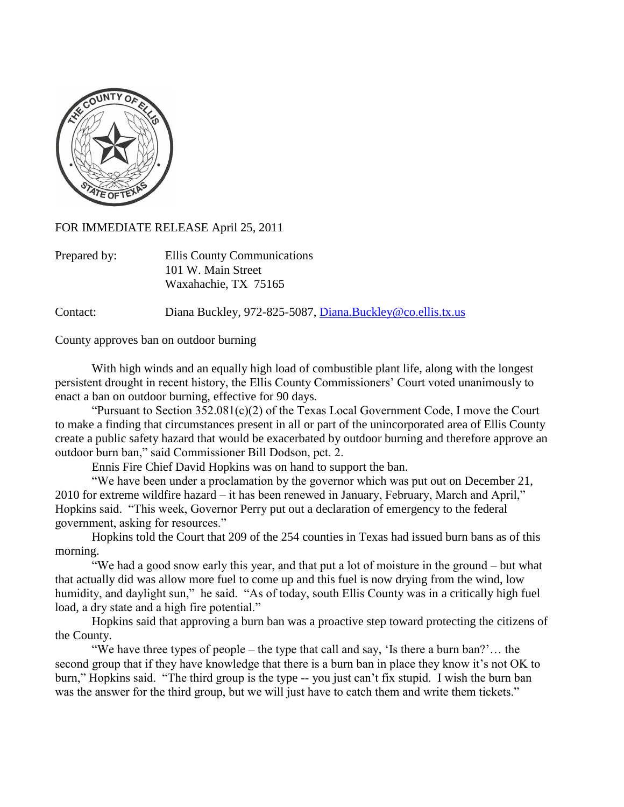

FOR IMMEDIATE RELEASE April 25, 2011

| Prepared by: | Ellis County Communications |
|--------------|-----------------------------|
|              | 101 W. Main Street          |
|              | Waxahachie, TX 75165        |

Contact: Diana Buckley, 972-825-5087, [Diana.Buckley@co.ellis.tx.us](mailto:Diana.Buckley@co.ellis.tx.us)

County approves ban on outdoor burning

With high winds and an equally high load of combustible plant life, along with the longest persistent drought in recent history, the Ellis County Commissioners" Court voted unanimously to enact a ban on outdoor burning, effective for 90 days.

"Pursuant to Section  $352.081(c)(2)$  of the Texas Local Government Code, I move the Court to make a finding that circumstances present in all or part of the unincorporated area of Ellis County create a public safety hazard that would be exacerbated by outdoor burning and therefore approve an outdoor burn ban," said Commissioner Bill Dodson, pct. 2.

Ennis Fire Chief David Hopkins was on hand to support the ban.

"We have been under a proclamation by the governor which was put out on December 21, 2010 for extreme wildfire hazard – it has been renewed in January, February, March and April," Hopkins said. "This week, Governor Perry put out a declaration of emergency to the federal government, asking for resources."

Hopkins told the Court that 209 of the 254 counties in Texas had issued burn bans as of this morning.

"We had a good snow early this year, and that put a lot of moisture in the ground – but what that actually did was allow more fuel to come up and this fuel is now drying from the wind, low humidity, and daylight sun," he said. "As of today, south Ellis County was in a critically high fuel load, a dry state and a high fire potential."

Hopkins said that approving a burn ban was a proactive step toward protecting the citizens of the County.

"We have three types of people – the type that call and say, "Is there a burn ban?"… the second group that if they have knowledge that there is a burn ban in place they know it's not OK to burn," Hopkins said. "The third group is the type -- you just can"t fix stupid. I wish the burn ban was the answer for the third group, but we will just have to catch them and write them tickets."